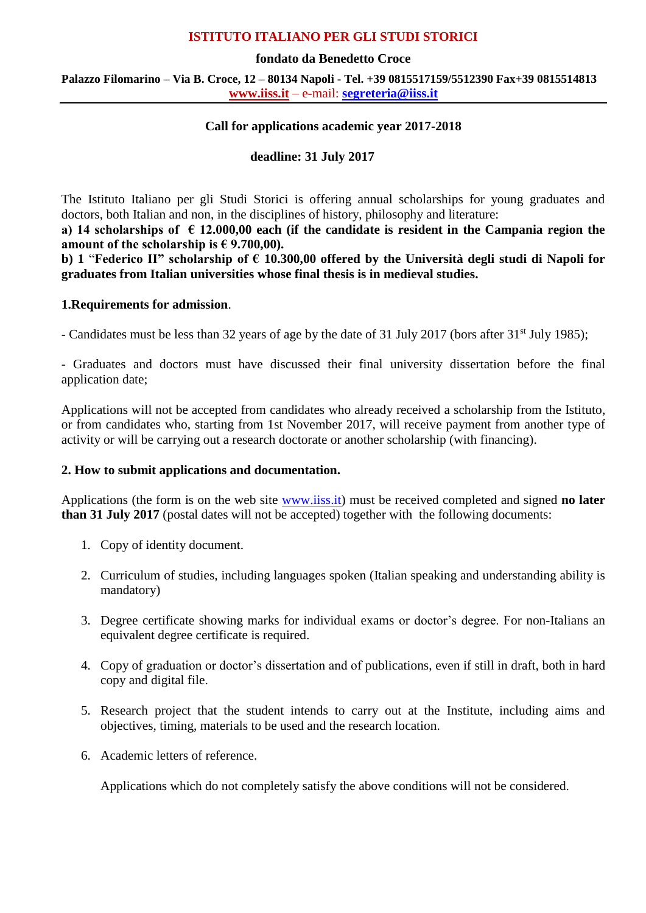# **ISTITUTO ITALIANO PER GLI STUDI STORICI**

### **fondato da Benedetto Croce**

**Palazzo Filomarino – Via B. Croce, 12 – 80134 Napoli - Tel. +39 0815517159/5512390 Fax+39 0815514813 [www.iiss.it](http://www.iiss.it/)** – e-mail: **[segreteria@iiss.it](mailto:segreteria@iiss.it)**

### **Call for applications academic year 2017-2018**

# **deadline: 31 July 2017**

The Istituto Italiano per gli Studi Storici is offering annual scholarships for young graduates and doctors, both Italian and non, in the disciplines of history, philosophy and literature:

a) 14 scholarships of  $\epsilon$  12.000,00 each (if the candidate is resident in the Campania region the **amount of the scholarship is € 9.700,00).**

**b) 1** "**Federico II" scholarship of € 10.300,00 offered by the Università degli studi di Napoli for graduates from Italian universities whose final thesis is in medieval studies.**

### **1.Requirements for admission**.

- Candidates must be less than 32 years of age by the date of 31 July 2017 (bors after 31<sup>st</sup> July 1985);

- Graduates and doctors must have discussed their final university dissertation before the final application date;

Applications will not be accepted from candidates who already received a scholarship from the Istituto, or from candidates who, starting from 1st November 2017, will receive payment from another type of activity or will be carrying out a research doctorate or another scholarship (with financing).

# **2. How to submit applications and documentation.**

Applications (the form is on the web site [www.iiss.it\)](http://www.iiss.it/) must be received completed and signed **no later than 31 July 2017** (postal dates will not be accepted) together with the following documents:

- 1. Copy of identity document.
- 2. Curriculum of studies, including languages spoken (Italian speaking and understanding ability is mandatory)
- 3. Degree certificate showing marks for individual exams or doctor's degree. For non-Italians an equivalent degree certificate is required.
- 4. Copy of graduation or doctor's dissertation and of publications, even if still in draft, both in hard copy and digital file.
- 5. Research project that the student intends to carry out at the Institute, including aims and objectives, timing, materials to be used and the research location.
- 6. Academic letters of reference.

Applications which do not completely satisfy the above conditions will not be considered.